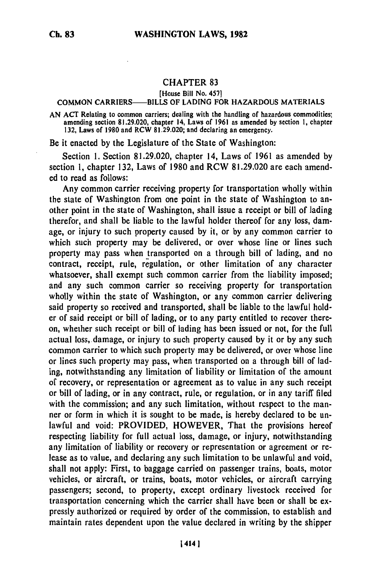## **CHAPTER 83**

## [House Bill No. 457]

## COMMON CARRIERS-BILLS OF LADING FOR HAZARDOUS MATERIALS

AN ACT Relating to common carriers; dealing with the handling of hazardous commodities; amending section 81.29.020, chapter 14, Laws of 1961 as amended by section **1,** chapter 132, Laws of 1980 and RCW 81.29.020; and declaring an emergency.

Be it enacted by the Legislature of the State of Washington:

Section 1. Section 81.29.020, chapter 14, Laws of 1961 as amended by section **1,** chapter 132, Laws of 1980 and RCW 81.29.020 are each amended to read as follows:

Any common carrier receiving property for transportation wholly within the state of Washington from one point in the state of Washington to another point in the state of Washington, shall issue a receipt or bill of lading therefor, and shall be liable to the lawful holder thereof for any loss, damage, or injury to such property caused by it, or by any common carrier to which such property may be delivered, or over whose line or lines such property may pass when transported on a through bill of lading, and no contract, receipt, rule, regulation, or other limitation of any character whatsoever, shall exempt such common carrier from the liability imposed; and any such common carrier so receiving property for transportation wholly within the state of Washington, or any common carrier delivering said property so received and transported, shall be liable to the lawful holder of said receipt or bill of lading, or to any party entitled to recover thereon, whether such receipt or bill of lading has been issued or not, for the full actual loss, damage, or injury to such property caused by it or **by** any such common carrier to which such property may be delivered, or over whose line or lines such property may pass, when transported on a through bill of lading, notwithstanding any limitation of liability or limitation of the amount of recovery, or representation or agreement as to value in any such receipt or bill of lading, or in any contract, rule, or regulation, or in any tariff filed with the commission; and any such limitation, without respect to the manner or form in which it is sought to be made, is hereby declared to be unlawful and void: PROVIDED, HOWEVER, That the provisions hereof respecting liability for full actual loss, damage, or injury, notwithstanding any limitation of liability or recovery or representation or agreement or release as to value, and declaring any such limitation to be unlawful and void, shall not apply: First, to baggage carried on passenger trains, boats, motor vehicles, or aircraft, or trains, boats, motor vehicles, or aircraft carrying passengers; second, to property, except ordinary livestock received for transportation concerning which the carrier shall have been or shall be expressly authorized or required by order of the commission, to establish and maintain rates dependent upon the value declared in writing by the shipper